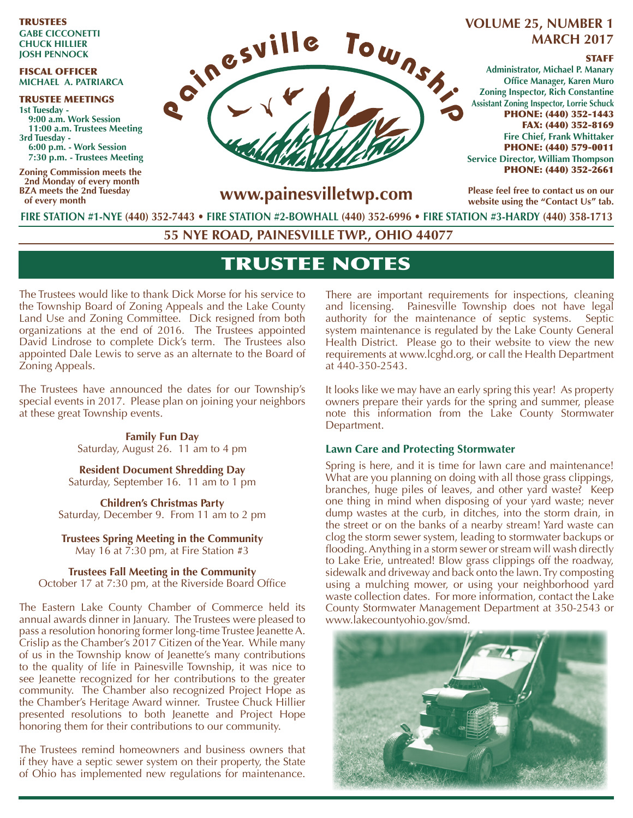TRUSTEES **GAbe CICConeTTI CHuCK HIllIer JoSH PennoCK**

#### FISCAL OFFICER **mICHAel A. PATrIArCA**

TRUSTEE MEETINGS **1st Tuesday - 9:00 a.m. Work Session 11:00 a.m. Trustees meeting 3rd Tuesday - 6:00 p.m. - Work Session 7:30 p.m. - Trustees meeting** 

**Zoning Commission meets the 2nd Monday of every month bZA meets the 2nd Tuesday of every month**



## **volume 25, number 1 mArCH 2017**

#### **STAFF**

**Administrator, michael P. manary Office Manager, Karen Muro Zoning Inspector, Rich Constantine Assistant Zoning Inspector, lorrie Schuck** PHONE: (440) 352-1443 FAX: (440) 352-8169 **Fire Chief, Frank Whittaker** PHONE: (440) 579-0011 **Service Director, William Thompson** PHONE: (440) 352-2661

**Please feel free to contact us on our**  website using the "Contact Us" tab.

**www.painesvilletwp.com**

**FIre STATIon #1-nye (440) 352-7443** • **FIre STATIon #2-boWHAll (440) 352-6996 • FIre STATIon #3-HArDy (440) 358-1713**

**55 nye roAD, PAIneSvIlle TWP., oHIo 44077**

# TRUSTEE NOTES

The Trustees would like to thank Dick Morse for his service to the Township Board of Zoning Appeals and the Lake County Land Use and Zoning Committee. Dick resigned from both organizations at the end of 2016. The Trustees appointed David Lindrose to complete Dick's term. The Trustees also appointed Dale Lewis to serve as an alternate to the Board of Zoning Appeals.

The Trustees have announced the dates for our Township's special events in 2017. Please plan on joining your neighbors at these great Township events.

> **Family Fun Day**  Saturday, August 26. 11 am to 4 pm

**Resident Document Shredding Day** Saturday, September 16. 11 am to 1 pm

**Children's Christmas Party** Saturday, December 9. From 11 am to 2 pm

**Trustees Spring Meeting in the Community** May 16 at 7:30 pm, at Fire Station #3

**Trustees Fall meeting in the Community** October 17 at 7:30 pm, at the Riverside Board Office

The Eastern Lake County Chamber of Commerce held its annual awards dinner in January. The Trustees were pleased to pass a resolution honoring former long-time Trustee Jeanette A. Crislip as the Chamber's 2017 Citizen of the Year. While many of us in the Township know of Jeanette's many contributions to the quality of life in Painesville Township, it was nice to see Jeanette recognized for her contributions to the greater community. The Chamber also recognized Project Hope as the Chamber's Heritage Award winner. Trustee Chuck Hillier presented resolutions to both Jeanette and Project Hope honoring them for their contributions to our community.

The Trustees remind homeowners and business owners that if they have a septic sewer system on their property, the State of Ohio has implemented new regulations for maintenance. There are important requirements for inspections, cleaning and licensing. Painesville Township does not have legal authority for the maintenance of septic systems. Septic system maintenance is regulated by the Lake County General Health District. Please go to their website to view the new requirements at www.lcghd.org, or call the Health Department at 440-350-2543.

It looks like we may have an early spring this year! As property owners prepare their yards for the spring and summer, please note this information from the Lake County Stormwater Department.

### **lawn Care and Protecting Stormwater**

Spring is here, and it is time for lawn care and maintenance! What are you planning on doing with all those grass clippings, branches, huge piles of leaves, and other yard waste? Keep one thing in mind when disposing of your yard waste; never dump wastes at the curb, in ditches, into the storm drain, in the street or on the banks of a nearby stream! Yard waste can clog the storm sewer system, leading to stormwater backups or flooding. Anything in a storm sewer or stream will wash directly to Lake Erie, untreated! Blow grass clippings off the roadway, sidewalk and driveway and back onto the lawn. Try composting using a mulching mower, or using your neighborhood yard waste collection dates. For more information, contact the Lake County Stormwater Management Department at 350-2543 or www.lakecountyohio.gov/smd.

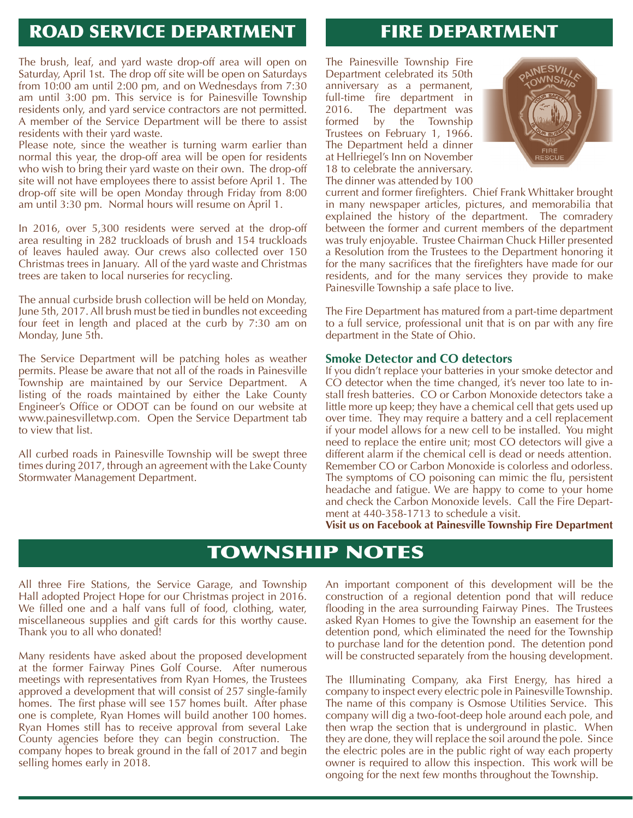# ROAD SERVICE DEPARTMENT

# FIRE DEPARTMENT

The brush, leaf, and yard waste drop-off area will open on Saturday, April 1st. The drop off site will be open on Saturdays from 10:00 am until 2:00 pm, and on Wednesdays from 7:30 am until 3:00 pm. This service is for Painesville Township residents only, and yard service contractors are not permitted. A member of the Service Department will be there to assist residents with their yard waste.

Please note, since the weather is turning warm earlier than normal this year, the drop-off area will be open for residents who wish to bring their yard waste on their own. The drop-off site will not have employees there to assist before April 1. The drop-off site will be open Monday through Friday from 8:00 am until 3:30 pm. Normal hours will resume on April 1.

In 2016, over 5,300 residents were served at the drop-off area resulting in 282 truckloads of brush and 154 truckloads of leaves hauled away. Our crews also collected over 150 Christmas trees in January. All of the yard waste and Christmas trees are taken to local nurseries for recycling.

The annual curbside brush collection will be held on Monday, June 5th, 2017. All brush must be tied in bundles not exceeding four feet in length and placed at the curb by 7:30 am on Monday, June 5th.

The Service Department will be patching holes as weather permits. Please be aware that not all of the roads in Painesville Township are maintained by our Service Department. listing of the roads maintained by either the Lake County Engineer's Office or ODOT can be found on our website at www.painesvilletwp.com. Open the Service Department tab to view that list.

All curbed roads in Painesville Township will be swept three times during 2017, through an agreement with the Lake County Stormwater Management Department.

The Painesville Township Fire Department celebrated its 50th anniversary as a permanent, full-time fire department in 2016. The department was<br>formed by the Township formed by the Township Trustees on February 1, 1966. The Department held a dinner at Hellriegel's Inn on November 18 to celebrate the anniversary. The dinner was attended by 100



current and former firefighters. Chief Frank Whittaker brought in many newspaper articles, pictures, and memorabilia that explained the history of the department. The comradery between the former and current members of the department was truly enjoyable. Trustee Chairman Chuck Hiller presented a Resolution from the Trustees to the Department honoring it for the many sacrifices that the firefighters have made for our residents, and for the many services they provide to make Painesville Township a safe place to live.

The Fire Department has matured from a part-time department to a full service, professional unit that is on par with any fire department in the State of Ohio.

#### **Smoke Detector and CO detectors**

If you didn't replace your batteries in your smoke detector and CO detector when the time changed, it's never too late to install fresh batteries. CO or Carbon Monoxide detectors take a little more up keep; they have a chemical cell that gets used up over time. They may require a battery and a cell replacement if your model allows for a new cell to be installed. You might need to replace the entire unit; most CO detectors will give a different alarm if the chemical cell is dead or needs attention. Remember CO or Carbon Monoxide is colorless and odorless. The symptoms of CO poisoning can mimic the flu, persistent headache and fatigue. We are happy to come to your home and check the Carbon Monoxide levels. Call the Fire Department at 440-358-1713 to schedule a visit.

**visit us on Facebook at Painesville Township Fire Department**

# TOWNSHIP NOTES

All three Fire Stations, the Service Garage, and Township Hall adopted Project Hope for our Christmas project in 2016. We filled one and a half vans full of food, clothing, water, miscellaneous supplies and gift cards for this worthy cause. Thank you to all who donated!

Many residents have asked about the proposed development at the former Fairway Pines Golf Course. After numerous meetings with representatives from Ryan Homes, the Trustees approved a development that will consist of 257 single-family homes. The first phase will see 157 homes built. After phase one is complete, Ryan Homes will build another 100 homes. Ryan Homes still has to receive approval from several Lake County agencies before they can begin construction. The company hopes to break ground in the fall of 2017 and begin selling homes early in 2018.

An important component of this development will be the construction of a regional detention pond that will reduce flooding in the area surrounding Fairway Pines. The Trustees asked Ryan Homes to give the Township an easement for the detention pond, which eliminated the need for the Township to purchase land for the detention pond. The detention pond will be constructed separately from the housing development.

The Illuminating Company, aka First Energy, has hired a company to inspect every electric pole in Painesville Township. The name of this company is Osmose Utilities Service. This company will dig a two-foot-deep hole around each pole, and then wrap the section that is underground in plastic. When they are done, they will replace the soil around the pole. Since the electric poles are in the public right of way each property owner is required to allow this inspection. This work will be ongoing for the next few months throughout the Township.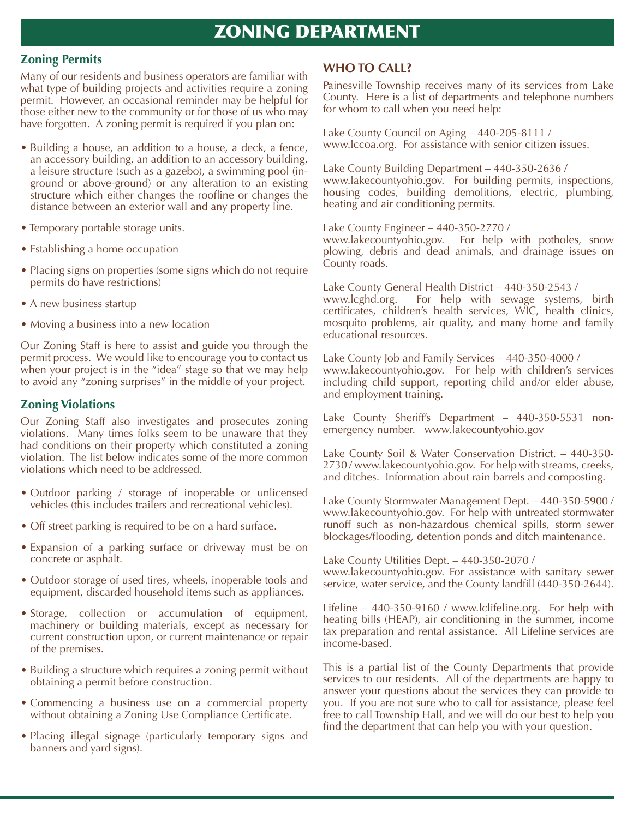# **ZONING DEPARTMENT**

#### **Zoning Permits**

Many of our residents and business operators are familiar with what type of building projects and activities require a zoning permit. However, an occasional reminder may be helpful for those either new to the community or for those of us who may have forgotten. A zoning permit is required if you plan on:

- Building a house, an addition to a house, a deck, a fence, an accessory building, an addition to an accessory building, a leisure structure (such as a gazebo), a swimming pool (inground or above-ground) or any alteration to an existing structure which either changes the roofline or changes the distance between an exterior wall and any property line.
- Temporary portable storage units.
- Establishing a home occupation
- Placing signs on properties (some signs which do not require permits do have restrictions)
- A new business startup
- Moving a business into a new location

Our Zoning Staff is here to assist and guide you through the permit process. We would like to encourage you to contact us when your project is in the "idea" stage so that we may help to avoid any "zoning surprises" in the middle of your project.

### **Zoning violations**

Our Zoning Staff also investigates and prosecutes zoning violations. Many times folks seem to be unaware that they had conditions on their property which constituted a zoning violation. The list below indicates some of the more common violations which need to be addressed.

- Outdoor parking / storage of inoperable or unlicensed vehicles (this includes trailers and recreational vehicles).
- Off street parking is required to be on a hard surface.
- Expansion of a parking surface or driveway must be on concrete or asphalt.
- Outdoor storage of used tires, wheels, inoperable tools and equipment, discarded household items such as appliances.
- Storage, collection or accumulation of equipment, machinery or building materials, except as necessary for current construction upon, or current maintenance or repair of the premises.
- Building a structure which requires a zoning permit without obtaining a permit before construction.
- Commencing a business use on a commercial property without obtaining a Zoning Use Compliance Certificate.
- Placing illegal signage (particularly temporary signs and banners and yard signs).

### **WHo To CAll?**

Painesville Township receives many of its services from Lake County. Here is a list of departments and telephone numbers for whom to call when you need help:

Lake County Council on Aging – 440-205-8111 / www.lccoa.org. For assistance with senior citizen issues.

Lake County Building Department – 440-350-2636 / www.lakecountyohio.gov. For building permits, inspections, housing codes, building demolitions, electric, plumbing, heating and air conditioning permits.

Lake County Engineer – 440-350-2770 / www.lakecountyohio.gov. For help with potholes, snow plowing, debris and dead animals, and drainage issues on County roads.

Lake County General Health District – 440-350-2543 / www.lcghd.org. For help with sewage systems, birth certificates, children's health services, WIC, health clinics, mosquito problems, air quality, and many home and family educational resources.

Lake County Job and Family Services – 440-350-4000 / www.lakecountyohio.gov. For help with children's services including child support, reporting child and/or elder abuse, and employment training.

Lake County Sheriff's Department – 440-350-5531 nonemergency number. www.lakecountyohio.gov

Lake County Soil & Water Conservation District. – 440-350- 2730 / www.lakecountyohio.gov. For help with streams, creeks, and ditches. Information about rain barrels and composting.

Lake County Stormwater Management Dept. – 440-350-5900 / www.lakecountyohio.gov. For help with untreated stormwater runoff such as non-hazardous chemical spills, storm sewer blockages/flooding, detention ponds and ditch maintenance.

Lake County Utilities Dept. – 440-350-2070 / www.lakecountyohio.gov. For assistance with sanitary sewer service, water service, and the County landfill (440-350-2644).

Lifeline – 440-350-9160 / www.lclifeline.org. For help with heating bills (HEAP), air conditioning in the summer, income tax preparation and rental assistance. All Lifeline services are income-based.

This is a partial list of the County Departments that provide services to our residents. All of the departments are happy to answer your questions about the services they can provide to you. If you are not sure who to call for assistance, please feel free to call Township Hall, and we will do our best to help you find the department that can help you with your question.